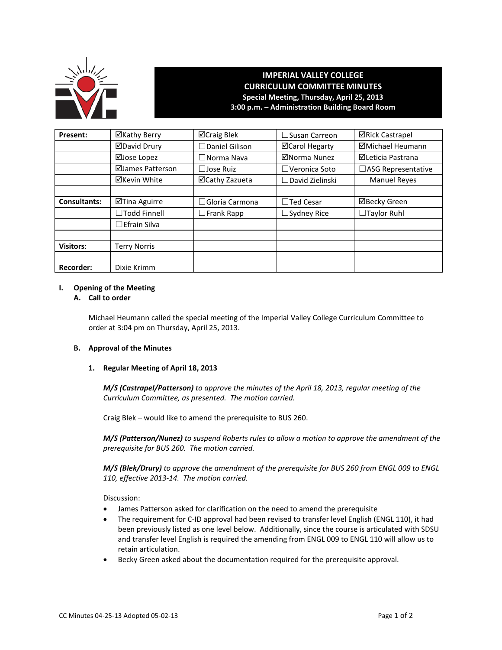

# **IMPERIAL VALLEY COLLEGE CURRICULUM COMMITTEE MINUTES Special Meeting, Thursday, April 25, 2013 3:00 p.m. – Administration Building Board Room**

| Present:            | ⊠Kathy Berry        | ⊠Craig Blek           | $\Box$ Susan Carreon   | <b>⊠Rick Castrapel</b>   |
|---------------------|---------------------|-----------------------|------------------------|--------------------------|
|                     | <b>ØDavid Drury</b> | $\Box$ Daniel Gilison | <b>⊠Carol Hegarty</b>  | ⊠Michael Heumann         |
|                     | ⊠Jose Lopez         | $\Box$ Norma Nava     | ⊠Norma Nunez           | <b>ØLeticia Pastrana</b> |
|                     | ⊠James Patterson    | $\Box$ Jose Ruiz      | $\Box$ Veronica Soto   | □ASG Representative      |
|                     | ⊠Kevin White        | ⊠Cathy Zazueta        | $\Box$ David Zielinski | <b>Manuel Reyes</b>      |
|                     |                     |                       |                        |                          |
| <b>Consultants:</b> | ⊠Tina Aguirre       | $\Box$ Gloria Carmona | $\Box$ Ted Cesar       | ⊠Becky Green             |
|                     | □Todd Finnell       | $\Box$ Frank Rapp     | $\Box$ Sydney Rice     | $\Box$ Taylor Ruhl       |
|                     | $\Box$ Efrain Silva |                       |                        |                          |
|                     |                     |                       |                        |                          |
| <b>Visitors:</b>    | <b>Terry Norris</b> |                       |                        |                          |
|                     |                     |                       |                        |                          |
| Recorder:           | Dixie Krimm         |                       |                        |                          |

#### **I. Opening of the Meeting**

## **A. Call to order**

Michael Heumann called the special meeting of the Imperial Valley College Curriculum Committee to order at 3:04 pm on Thursday, April 25, 2013.

#### **B. Approval of the Minutes**

## **1. Regular Meeting of April 18, 2013**

*M/S (Castrapel/Patterson) to approve the minutes of the April 18, 2013, regular meeting of the Curriculum Committee, as presented. The motion carried.*

Craig Blek – would like to amend the prerequisite to BUS 260.

*M/S (Patterson/Nunez) to suspend Roberts rules to allow a motion to approve the amendment of the prerequisite for BUS 260. The motion carried.*

*M/S (Blek/Drury) to approve the amendment of the prerequisite for BUS 260 from ENGL 009 to ENGL 110, effective 2013-14. The motion carried.*

Discussion:

- James Patterson asked for clarification on the need to amend the prerequisite
- The requirement for C-ID approval had been revised to transfer level English (ENGL 110), it had been previously listed as one level below. Additionally, since the course is articulated with SDSU and transfer level English is required the amending from ENGL 009 to ENGL 110 will allow us to retain articulation.
- Becky Green asked about the documentation required for the prerequisite approval.